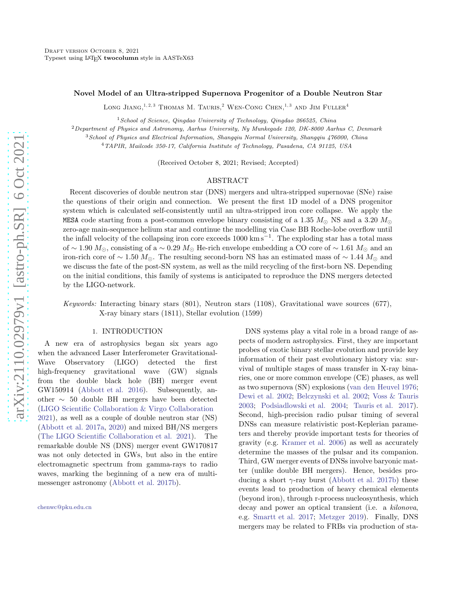## Novel Model of an Ultra-stripped Supernova Progenitor of a Double Neutron Star

LONG JIANG,  $^{1,2,3}$  Thomas M. Tauris, <sup>2</sup> Wen-Cong Chen,  $^{1,3}$  and Jim Fuller<sup>4</sup>

<sup>1</sup> School of Science, Qingdao University of Technology, Qingdao 266525, China

 $2$ Department of Physics and Astronomy, Aarhus University, Ny Munkegade 120, DK-8000 Aarhus C, Denmark

<sup>3</sup>School of Physics and Electrical Information, Shangqiu Normal University, Shangqiu 476000, China

<sup>4</sup>TAPIR, Mailcode 350-17, California Institute of Technology, Pasadena, CA 91125, USA

(Received October 8, 2021; Revised; Accepted)

# ABSTRACT

Recent discoveries of double neutron star (DNS) mergers and ultra-stripped supernovae (SNe) raise the questions of their origin and connection. We present the first 1D model of a DNS progenitor system which is calculated self-consistently until an ultra-stripped iron core collapse. We apply the MESA code starting from a post-common envelope binary consisting of a 1.35  $M_{\odot}$  NS and a 3.20  $M_{\odot}$ zero-age main-sequence helium star and continue the modelling via Case BB Roche-lobe overflow until the infall velocity of the collapsing iron core exceeds  $1000 \text{ km s}^{-1}$ . The exploding star has a total mass of ~ 1.90  $M_{\odot}$ , consisting of a ~ 0.29  $M_{\odot}$  He-rich envelope embedding a CO core of ~ 1.61  $M_{\odot}$  and an iron-rich core of ~ 1.50  $M_{\odot}$ . The resulting second-born NS has an estimated mass of ~ 1.44  $M_{\odot}$  and we discuss the fate of the post-SN system, as well as the mild recycling of the first-born NS. Depending on the initial conditions, this family of systems is anticipated to reproduce the DNS mergers detected by the LIGO-network.

Keywords: Interacting binary stars (801), Neutron stars (1108), Gravitational wave sources (677), X-ray binary stars (1811), Stellar evolution (1599)

## 1. INTRODUCTION

A new era of astrophysics began six years ago when the advanced Laser Interferometer Gravitational-Wave Observatory (LIGO) detected the first high-frequency gravitational wave (GW) signals from the double black hole (BH) merger event GW150914 [\(Abbott et al. 2016](#page-6-0)). Subsequently, another ∼ 50 double BH mergers have been detected [\(LIGO Scientific Collaboration & Virgo Collaboration](#page-6-1) [2021\)](#page-6-1), as well as a couple of double neutron star (NS) [\(Abbott et al. 2017a,](#page-6-2) [2020\)](#page-6-3) and mixed BH/NS mergers [\(The LIGO Scientific Collaboration et al. 2021\)](#page-7-0). The remarkable double NS (DNS) merger event GW170817 was not only detected in GWs, but also in the entire electromagnetic spectrum from gamma-rays to radio waves, marking the beginning of a new era of multimessenger astronomy [\(Abbott et al. 2017b\)](#page-6-4).

DNS systems play a vital role in a broad range of aspects of modern astrophysics. First, they are important probes of exotic binary stellar evolution and provide key information of their past evolutionary history via: survival of multiple stages of mass transfer in X-ray binaries, one or more common envelope (CE) phases, as well as two supernova (SN) explosions [\(van den Heuvel 1976](#page-7-1); [Dewi et al. 2002;](#page-6-5) [Belczynski et al. 2002;](#page-6-6) [Voss & Tauris](#page-7-2) [2003;](#page-7-2) [Podsiadlowski et al. 2004;](#page-7-3) [Tauris et al. 2017](#page-7-4)). Second, high-precision radio pulsar timing of several DNSs can measure relativistic post-Keplerian parameters and thereby provide important tests for theories of gravity (e.g. [Kramer et al. 2006\)](#page-6-7) as well as accurately determine the masses of the pulsar and its companion. Third, GW merger events of DNSs involve baryonic matter (unlike double BH mergers). Hence, besides producing a short  $\gamma$ -ray burst [\(Abbott et al. 2017b\)](#page-6-4) these events lead to production of heavy chemical elements (beyond iron), through r-process nucleosynthesis, which decay and power an optical transient (i.e. a kilonova, e.g. [Smartt et al. 2017;](#page-7-5) [Metzger 2019\)](#page-6-8). Finally, DNS mergers may be related to FRBs via production of sta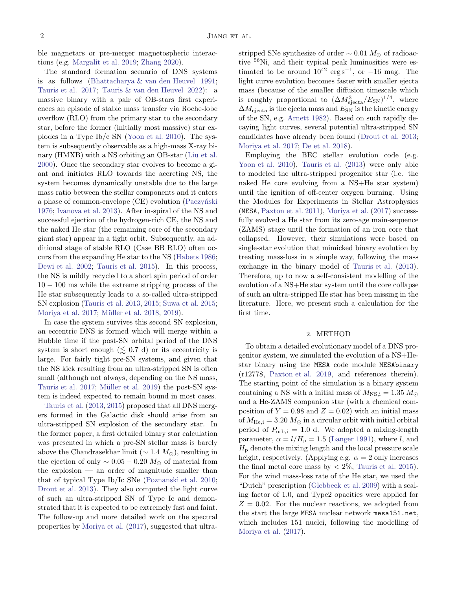ble magnetars or pre-merger magnetospheric interactions (e.g. [Margalit et al. 2019;](#page-6-9) [Zhang 2020\)](#page-7-6).

The standard formation scenario of DNS systems is as follows [\(Bhattacharya & van den Heuvel 1991;](#page-6-10) [Tauris et al. 2017](#page-7-4); [Tauris & van den Heuvel 2022\)](#page-7-7): a massive binary with a pair of OB-stars first experiences an episode of stable mass transfer via Roche-lobe overflow (RLO) from the primary star to the secondary star, before the former (initially most massive) star explodes in a Type Ib/c SN [\(Yoon et al. 2010\)](#page-7-8). The system is subsequently observable as a high-mass X-ray binary (HMXB) with a NS orbiting an OB-star [\(Liu et al.](#page-6-11) [2000\)](#page-6-11). Once the secondary star evolves to become a giant and initiates RLO towards the accreting NS, the system becomes dynamically unstable due to the large mass ratio between the stellar components and it enters a phase of common-envelope (CE) evolution (Paczyński [1976;](#page-6-12) [Ivanova et al. 2013\)](#page-6-13). After in-spiral of the NS and successful ejection of the hydrogen-rich CE, the NS and the naked He star (the remaining core of the secondary giant star) appear in a tight orbit. Subsequently, an additional stage of stable RLO (Case BB RLO) often occurs from the expanding He star to the NS [\(Habets 1986;](#page-6-14) [Dewi et al. 2002;](#page-6-5) [Tauris et al. 2015\)](#page-7-9). In this process, the NS is mildly recycled to a short spin period of order 10 − 100 ms while the extreme stripping process of the He star subsequently leads to a so-called ultra-stripped SN explosion [\(Tauris et al. 2013,](#page-7-10) [2015;](#page-7-9) [Suwa et al. 2015;](#page-7-11) [Moriya et al. 2017](#page-6-15); Müller et al. 2018, [2019\)](#page-6-17).

In case the system survives this second SN explosion, an eccentric DNS is formed which will merge within a Hubble time if the post-SN orbital period of the DNS system is short enough  $(\leq 0.7 \text{ d})$  or its eccentricity is large. For fairly tight pre-SN systems, and given that the NS kick resulting from an ultra-stripped SN is often small (although not always, depending on the NS mass, [Tauris et al. 2017;](#page-7-4) Müller et al. 2019) the post-SN system is indeed expected to remain bound in most cases.

[Tauris et al.](#page-7-10) [\(2013,](#page-7-10) [2015\)](#page-7-9) proposed that all DNS mergers formed in the Galactic disk should arise from an ultra-stripped SN explosion of the secondary star. In the former paper, a first detailed binary star calculation was presented in which a pre-SN stellar mass is barely above the Chandrasekhar limit ( $\sim 1.4 M_{\odot}$ ), resulting in the ejection of only  $\sim 0.05 - 0.20 M_{\odot}$  of material from the explosion — an order of magnitude smaller than that of typical Type Ib/Ic SNe [\(Poznanski et al. 2010;](#page-7-12) [Drout et al. 2013\)](#page-6-18). They also computed the light curve of such an ultra-stripped SN of Type Ic and demonstrated that it is expected to be extremely fast and faint. The follow-up and more detailed work on the spectral properties by [Moriya et al.](#page-6-15) [\(2017\)](#page-6-15), suggested that ultrastripped SNe synthesize of order  $\sim 0.01 M_{\odot}$  of radioactive <sup>56</sup>Ni, and their typical peak luminosities were estimated to be around  $10^{42} \text{ erg s}^{-1}$ , or  $-16 \text{ mag}$ . The light curve evolution becomes faster with smaller ejecta mass (because of the smaller diffusion timescale which is roughly proportional to  $(\Delta M_{\text{ejecta}}^3/E_{\text{SN}})^{1/4}$ , where  $\Delta M_{\rm ejecta}$  is the ejecta mass and  $E_{\rm SN}$  is the kinetic energy of the SN, e.g. [Arnett 1982\)](#page-6-19). Based on such rapidly decaying light curves, several potential ultra-stripped SN candidates have already been found [\(Drout et al. 2013](#page-6-18); [Moriya et al. 2017](#page-6-15); [De et al. 2018\)](#page-6-20).

Employing the BEC stellar evolution code (e.g. [Yoon et al. 2010\)](#page-7-8), [Tauris et al.](#page-7-10) [\(2013](#page-7-10)) were only able to modeled the ultra-stripped progenitor star (i.e. the naked He core evolving from a NS+He star system) until the ignition of off-center oxygen burning. Using the Modules for Experiments in Stellar Astrophysics (MESA, [Paxton et al. 2011\)](#page-6-21), [Moriya et al.](#page-6-15) [\(2017\)](#page-6-15) successfully evolved a He star from its zero-age main-sequence (ZAMS) stage until the formation of an iron core that collapsed. However, their simulations were based on single-star evolution that mimicked binary evolution by treating mass-loss in a simple way, following the mass exchange in the binary model of [Tauris et al.](#page-7-10) [\(2013](#page-7-10)). Therefore, up to now a self-consistent modelling of the evolution of a NS+He star system until the core collapse of such an ultra-stripped He star has been missing in the literature. Here, we present such a calculation for the first time.

#### 2. METHOD

To obtain a detailed evolutionary model of a DNS progenitor system, we simulated the evolution of a NS+Hestar binary using the MESA code module MESAbinary (r12778, [Paxton et al. 2019,](#page-7-13) and references therein). The starting point of the simulation is a binary system containing a NS with a initial mass of  $M_{\rm NS,i} = 1.35 M_{\odot}$ and a He-ZAMS companion star (with a chemical composition of  $Y = 0.98$  and  $Z = 0.02$ ) with an initial mass of  $M_{\text{He,i}} = 3.20 M_{\odot}$  in a circular orbit with initial orbital period of  $P_{\text{orb,i}} = 1.0$  d. We adopted a mixing-length parameter,  $\alpha = l/H_p = 1.5$  [\(Langer 1991](#page-6-22)), where l, and  $H<sub>p</sub>$  denote the mixing length and the local pressure scale height, respectively. (Applying e.g.  $\alpha = 2$  only increases the final metal core mass by  $\langle 2\%, 2\% \rangle$ . [Tauris et al. 2015](#page-7-9)). For the wind mass-loss rate of the He star, we used the "Dutch" prescription [\(Glebbeek et al. 2009\)](#page-6-23) with a scaling factor of 1.0, and Type2 opacities were applied for  $Z = 0.02$ . For the nuclear reactions, we adopted from the start the large MESA nuclear network mesa151.net, which includes 151 nuclei, following the modelling of [Moriya et al.](#page-6-15) [\(2017\)](#page-6-15).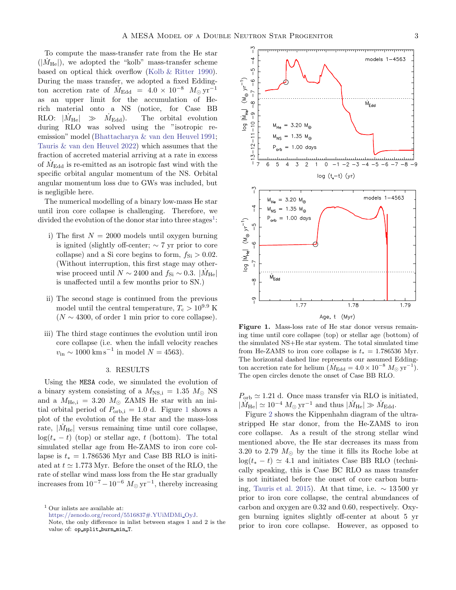$\zeta$ 

To compute the mass-transfer rate from the He star  $(|\dot{M}_{\text{He}}|)$ , we adopted the "kolb" mass-transfer scheme based on optical thick overflow [\(Kolb & Ritter 1990\)](#page-6-24). During the mass transfer, we adopted a fixed Eddington accretion rate of  $\dot{M}_{\text{Edd}} = 4.0 \times 10^{-8} M_{\odot} \text{ yr}^{-1}$ as an upper limit for the accumulation of Herich material onto a NS (notice, for Case BB RLO:  $|\dot{M}_{\text{He}}| \gg \dot{M}_{\text{Edd}}$ . The orbital evolution during RLO was solved using the "isotropic reemission" model [\(Bhattacharya & van den Heuvel 1991;](#page-6-10) [Tauris & van den Heuvel 2022\)](#page-7-7) which assumes that the fraction of accreted material arriving at a rate in excess of  $M_{\text{Edd}}$  is re-emitted as an isotropic fast wind with the specific orbital angular momentum of the NS. Orbital angular momentum loss due to GWs was included, but is negligible here.

The numerical modelling of a binary low-mass He star until iron core collapse is challenging. Therefore, we divided the evolution of the donor star into three  $stages<sup>1</sup>$  $stages<sup>1</sup>$  $stages<sup>1</sup>$ :

- i) The first  $N = 2000$  models until oxygen burning is ignited (slightly off-center;  $\sim$  7 yr prior to core collapse) and a Si core begins to form,  $f_{\text{Si}} > 0.02$ . (Without interruption, this first stage may otherwise proceed until  $N \sim 2400$  and  $f_{\rm Si} \sim 0.3$ . |M<sub>He</sub>| is unaffected until a few months prior to SN.)
- ii) The second stage is continued from the previous model until the central temperature,  $T_c > 10^{9.9}$  K  $(N \sim 4300,$  of order 1 min prior to core collapse).
- iii) The third stage continues the evolution until iron core collapse (i.e. when the infall velocity reaches  $v_{\text{in}} \sim 1000 \text{ km s}^{-1}$  in model  $N = 4563$ ).

## 3. RESULTS

Using the MESA code, we simulated the evolution of a binary system consisting of a  $M_{\text{NS,i}} = 1.35 M_{\odot}$  NS and a  $M_{\text{He,i}} = 3.20 M_{\odot}$  ZAMS He star with an initial orbital period of  $P_{\text{orb,i}} = 1.0$  $P_{\text{orb,i}} = 1.0$  $P_{\text{orb,i}} = 1.0$  d. Figure 1 shows a plot of the evolution of the He star and the mass-loss rate,  $|M_{\text{He}}|$  versus remaining time until core collapse,  $log(t_* - t)$  (top) or stellar age, t (bottom). The total simulated stellar age from He-ZAMS to iron core collapse is  $t_* = 1.786536$  Myr and Case BB RLO is initiated at  $t \approx 1.773$  Myr. Before the onset of the RLO, the rate of stellar wind mass loss from the He star gradually increases from  $10^{-7} - 10^{-6} M_{\odot} \text{ yr}^{-1}$ , thereby increasing

<sup>1</sup> Our inlists are available at:

<span id="page-2-0"></span>[https://zenodo.org/record/5516837#.YUiMDMi](https://zenodo.org/record/5516837#.YUiMDMi_OyJ)\_OyJ.



<span id="page-2-1"></span>ing time until core collapse (top) or stellar age (bottom) of the simulated NS+He star system. The total simulated time from He-ZAMS to iron core collapse is  $t_* = 1.786536$  Myr. The horizontal dashed line represents our assumed Eddington accretion rate for helium  $(M_{\text{Edd}} = 4.0 \times 10^{-8} M_{\odot} \text{ yr}^{-1})$ . The open circles denote the onset of Case BB RLO.

 $P_{\text{orb}} \simeq 1.21$  d. Once mass transfer via RLO is initiated,  $|\dot{M}_{\rm He}| \simeq 10^{-4} M_{\odot} {\rm ~yr}^{-1}$  and thus  $|\dot{M}_{\rm He}| \gg \dot{M}_{\rm Edd}$ .

Figure [2](#page-3-0) shows the Kippenhahn diagram of the ultrastripped He star donor, from the He-ZAMS to iron core collapse. As a result of the strong stellar wind mentioned above, the He star decreases its mass from 3.20 to 2.79  $M_{\odot}$  by the time it fills its Roche lobe at  $log(t_* - t) \simeq 4.1$  and initiates Case BB RLO (technically speaking, this is Case BC RLO as mass transfer is not initiated before the onset of core carbon burn-ing, [Tauris et al. 2015](#page-7-9)). At that time, i.e.  $\sim 13500$  yr prior to iron core collapse, the central abundances of carbon and oxygen are 0.32 and 0.60, respectively. Oxygen burning ignites slightly off-center at about 5 yr prior to iron core collapse. However, as opposed to

models  $1-4563$ 

Note, the only difference in inlist between stages 1 and 2 is the value of: op split burn min T.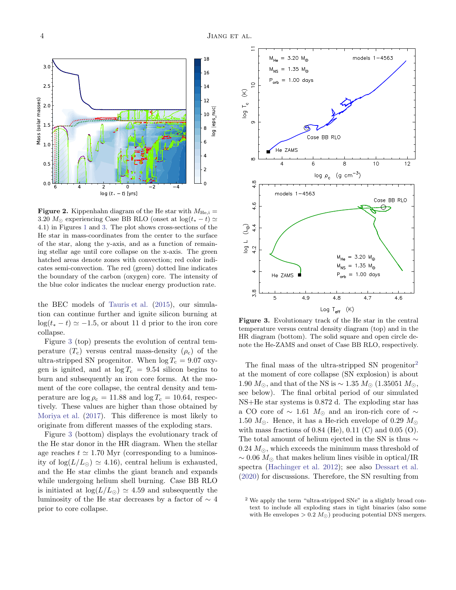

<span id="page-3-0"></span>**Figure 2.** Kippenhahn diagram of the He star with  $M_{\text{He},i}$  = 3.20  $M_{\odot}$  experiencing Case BB RLO (onset at  $\log(t_{*}-t) \simeq$ 4.1) in Figures [1](#page-2-1) and [3.](#page-3-1) The plot shows cross-sections of the He star in mass-coordinates from the center to the surface of the star, along the y-axis, and as a function of remaining stellar age until core collapse on the x-axis. The green hatched areas denote zones with convection; red color indicates semi-convection. The red (green) dotted line indicates the boundary of the carbon (oxygen) core. The intensity of the blue color indicates the nuclear energy production rate.

the BEC models of [Tauris et al.](#page-7-9) [\(2015](#page-7-9)), our simulation can continue further and ignite silicon burning at  $log(t_* - t) \simeq -1.5$ , or about 11 d prior to the iron core collapse.

Figure [3](#page-3-1) (top) presents the evolution of central temperature  $(T_c)$  versus central mass-density  $(\rho_c)$  of the ultra-stripped SN progenitor. When  $\log T_c = 9.07$  oxygen is ignited, and at  $\log T_c = 9.54$  silicon begins to burn and subsequently an iron core forms. At the moment of the core collapse, the central density and temperature are  $\log \rho_c = 11.88$  and  $\log T_c = 10.64$ , respectively. These values are higher than those obtained by [Moriya et al.](#page-6-15) [\(2017](#page-6-15)). This difference is most likely to originate from different masses of the exploding stars.

Figure [3](#page-3-1) (bottom) displays the evolutionary track of the He star donor in the HR diagram. When the stellar age reaches  $t \approx 1.70$  Myr (corresponding to a luminosity of  $log(L/L_{\odot}) \simeq 4.16$ , central helium is exhausted, and the He star climbs the giant branch and expands while undergoing helium shell burning. Case BB RLO is initiated at  $\log(L/L_{\odot}) \simeq 4.59$  and subsequently the luminosity of the He star decreases by a factor of  $\sim$  4 prior to core collapse.



<span id="page-3-1"></span>Figure 3. Evolutionary track of the He star in the central temperature versus central density diagram (top) and in the HR diagram (bottom). The solid square and open circle denote the He-ZAMS and onset of Case BB RLO, respectively.

The final mass of the ultra-stripped SN progenitor<sup>[2](#page-3-2)</sup> at the moment of core collapse (SN explosion) is about 1.90  $M_{\odot}$ , and that of the NS is  $\sim$  1.35  $M_{\odot}$  (1.35051  $M_{\odot}$ ), see below). The final orbital period of our simulated NS+He star systems is 0.872 d. The exploding star has a CO core of  $\sim$  1.61  $M_{\odot}$  and an iron-rich core of  $\sim$ 1.50  $M_{\odot}$ . Hence, it has a He-rich envelope of 0.29  $M_{\odot}$ with mass fractions of  $0.84$  (He),  $0.11$  (C) and  $0.05$  (O). The total amount of helium ejected in the SN is thus  $\sim$ 0.24  $M_{\odot}$ , which exceeds the minimum mass threshold of  $\sim 0.06 M_{\odot}$  that makes helium lines visible in optical/IR spectra [\(Hachinger et al. 2012\)](#page-6-25); see also [Dessart et al.](#page-6-26) [\(2020\)](#page-6-26) for discussions. Therefore, the SN resulting from

<span id="page-3-2"></span><sup>2</sup> We apply the term "ultra-stripped SNe" in a slightly broad context to include all exploding stars in tight binaries (also some with He envelopes  $> 0.2 M_{\odot}$ ) producing potential DNS mergers.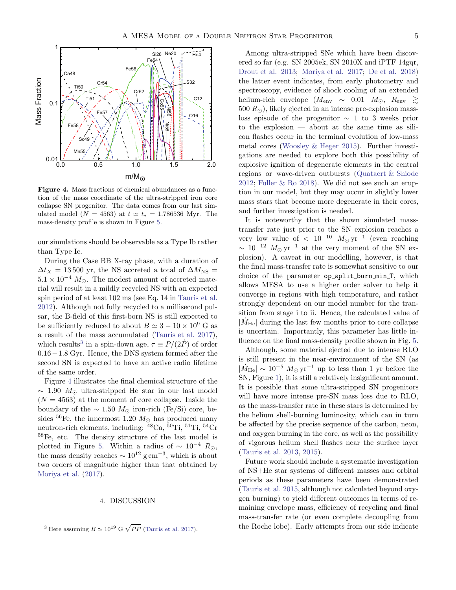

<span id="page-4-1"></span>Figure 4. Mass fractions of chemical abundances as a function of the mass coordinate of the ultra-stripped iron core collapse SN progenitor. The data comes from our last simulated model ( $N = 4563$ ) at  $t \approx t_* = 1.786536$  Myr. The mass-density profile is shown in Figure [5.](#page-5-0)

our simulations should be observable as a Type Ib rather than Type Ic.

During the Case BB X-ray phase, with a duration of  $\Delta t_X = 13\,500$  yr, the NS accreted a total of  $\Delta M_{\text{NS}} =$  $5.1 \times 10^{-4}$  M<sub>☉</sub>. The modest amount of accreted material will result in a mildly recycled NS with an expected spin period of at least 102 ms (see Eq. 14 in [Tauris et al.](#page-7-14) [2012\)](#page-7-14). Although not fully recycled to a millisecond pulsar, the B-field of this first-born NS is still expected to be sufficiently reduced to about  $B \simeq 3 - 10 \times 10^9$  G as a result of the mass accumulated [\(Tauris et al. 2017\)](#page-7-4), which results<sup>[3](#page-4-0)</sup> in a spin-down age,  $\tau \equiv P/(2\dot{P})$  of order 0.16−1.8 Gyr. Hence, the DNS system formed after the second SN is expected to have an active radio lifetime of the same order.

Figure [4](#page-4-1) illustrates the final chemical structure of the  $\sim$  1.90  $M_{\odot}$  ultra-stripped He star in our last model  $(N = 4563)$  at the moment of core collapse. Inside the boundary of the  $\sim 1.50 M_{\odot}$  iron-rich (Fe/Si) core, besides <sup>56</sup>Fe, the innermost 1.20  $M_{\odot}$  has produced many neutron-rich elements, including:  $^{48}Ca$ ,  $^{50}Ti$ ,  $^{51}Ti$ ,  $^{54}Cr$ <sup>58</sup>Fe, etc. The density structure of the last model is plotted in Figure [5.](#page-5-0) Within a radius of  $\sim 10^{-4} R_{\odot}$ , the mass density reaches  $\sim 10^{12}$  g cm<sup>-3</sup>, which is about two orders of magnitude higher than that obtained by [Moriya et al.](#page-6-15) [\(2017](#page-6-15)).

### 4. DISCUSSION

<span id="page-4-0"></span><sup>3</sup> Here assuming 
$$
B \simeq 10^{19}
$$
 G  $\sqrt{PP}$  (Tauris et al. 2017).

Among ultra-stripped SNe which have been discovered so far (e.g. SN 2005ek, SN 2010X and iPTF 14gqr, [Drout et al. 2013;](#page-6-18) [Moriya et al. 2017](#page-6-15); [De et al. 2018](#page-6-20)) the latter event indicates, from early photometry and spectroscopy, evidence of shock cooling of an extended helium-rich envelope ( $M_{\text{env}} \sim 0.01 M_{\odot}$ ,  $R_{\text{env}} \geq$ 500  $R_{\odot}$ ), likely ejected in an intense pre-explosion massloss episode of the progenitor ∼ 1 to 3 weeks prior to the explosion — about at the same time as silicon flashes occur in the terminal evolution of low-mass metal cores [\(Woosley & Heger 2015](#page-7-15)). Further investigations are needed to explore both this possibility of explosive ignition of degenerate elements in the central regions or wave-driven outbursts [\(Quataert & Shiode](#page-7-16) [2012;](#page-7-16) Fuller  $\&$  Ro 2018). We did not see such an eruption in our model, but they may occur in slightly lower mass stars that become more degenerate in their cores, and further investigation is needed.

It is noteworthy that the shown simulated masstransfer rate just prior to the SN explosion reaches a very low value of  $\langle 10^{-10} M_{\odot} \text{ yr}^{-1}$  (even reaching  $\sim 10^{-12}$   $M_{\odot}$  yr<sup>-1</sup> at the very moment of the SN explosion). A caveat in our modelling, however, is that the final mass-transfer rate is somewhat sensitive to our choice of the parameter op split burn min T, which allows MESA to use a higher order solver to help it converge in regions with high temperature, and rather strongly dependent on our model number for the transition from stage i to ii. Hence, the calculated value of  $|M_{\rm He}|$  during the last few months prior to core collapse is uncertain. Importantly, this parameter has little influence on the final mass-density profile shown in Fig. [5.](#page-5-0)

Although, some material ejected due to intense RLO is still present in the near-environment of the SN (as  $|\dot{M}_{\text{He}}| \sim 10^{-5} M_{\odot} \text{ yr}^{-1}$  up to less than 1 yr before the SN, Figure [1\)](#page-2-1), it is still a relatively insignificant amount. It is possible that some ultra-stripped SN progenitors will have more intense pre-SN mass loss due to RLO, as the mass-transfer rate in these stars is determined by the helium shell-burning luminosity, which can in turn be affected by the precise sequence of the carbon, neon, and oxygen burning in the core, as well as the possibility of vigorous helium shell flashes near the surface layer [\(Tauris et al. 2013,](#page-7-10) [2015\)](#page-7-9).

Future work should include a systematic investigation of NS+He star systems of different masses and orbital periods as these parameters have been demonstrated [\(Tauris et al. 2015,](#page-7-9) although not calculated beyond oxygen burning) to yield different outcomes in terms of remaining envelope mass, efficiency of recycling and final mass-transfer rate (or even complete decoupling from the Roche lobe). Early attempts from our side indicate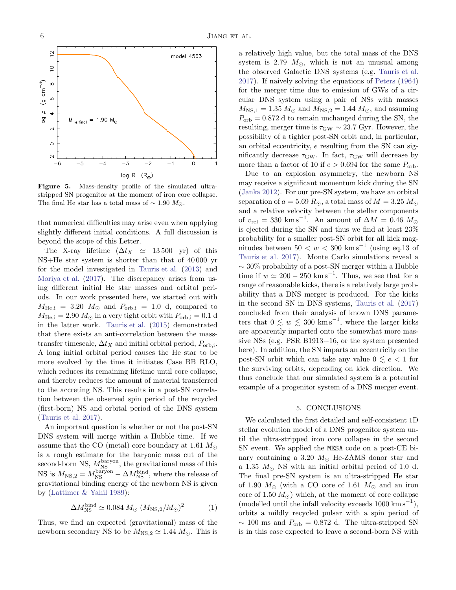

<span id="page-5-0"></span>Figure 5. Mass-density profile of the simulated ultrastripped SN progenitor at the moment of iron core collapse. The final He star has a total mass of  $\sim 1.90 M_{\odot}$ .

that numerical difficulties may arise even when applying slightly different initial conditions. A full discussion is beyond the scope of this Letter.

The X-ray lifetime  $(\Delta t_X \simeq 13500 \text{ yr})$  of this NS+He star system is shorter than that of 40 000 yr for the model investigated in [Tauris et al.](#page-7-10) [\(2013\)](#page-7-10) and [Moriya et al.](#page-6-15) [\(2017](#page-6-15)). The discrepancy arises from using different initial He star masses and orbital periods. In our work presented here, we started out with  $M_{\text{He,i}} = 3.20 M_{\odot}$  and  $P_{\text{orb,i}} = 1.0 d$ , compared to  $M_{\text{He,i}} = 2.90 M_{\odot}$  in a very tight orbit with  $P_{\text{orb,i}} = 0.1 \text{ d}$ in the latter work. [Tauris et al.](#page-7-9) [\(2015\)](#page-7-9) demonstrated that there exists an anti-correlation between the masstransfer timescale,  $\Delta t_X$  and initial orbital period,  $P_{\text{orb,i}}$ . A long initial orbital period causes the He star to be more evolved by the time it initiates Case BB RLO, which reduces its remaining lifetime until core collapse, and thereby reduces the amount of material transferred to the accreting NS. This results in a post-SN correlation between the observed spin period of the recycled (first-born) NS and orbital period of the DNS system [\(Tauris et al. 2017\)](#page-7-4).

An important question is whether or not the post-SN DNS system will merge within a Hubble time. If we assume that the CO (metal) core boundary at 1.61  $M_{\odot}$ is a rough estimate for the baryonic mass cut of the second-born NS,  $M_{\text{NS}}^{\text{baryon}}$ , the gravitational mass of this NS is  $M_{\rm NS,2} = M_{\rm NS}^{\rm baryon} - \Delta M_{\rm NS}^{\rm bind}$ , where the release of gravitational binding energy of the newborn NS is given by [\(Lattimer & Yahil 1989](#page-6-28)):

$$
\Delta M_{\rm NS}^{\rm bind} \simeq 0.084 \, M_\odot \, (M_{\rm NS,2}/M_\odot)^2 \tag{1}
$$

Thus, we find an expected (gravitational) mass of the newborn secondary NS to be  $M_{\text{NS},2} \simeq 1.44 M_{\odot}$ . This is a relatively high value, but the total mass of the DNS system is 2.79  $M_{\odot}$ , which is not an unusual among the observed Galactic DNS systems (e.g. [Tauris et al.](#page-7-4) [2017\)](#page-7-4). If naively solving the equations of [Peters](#page-7-17) [\(1964](#page-7-17)) for the merger time due to emission of GWs of a circular DNS system using a pair of NSs with masses  $M_{\text{NS},1} = 1.35 M_{\odot}$  and  $M_{\text{NS},2} = 1.44 M_{\odot}$ , and assuming  $P_{\rm orb} = 0.872$  d to remain unchanged during the SN, the resulting, merger time is  $\tau_{\rm GW} \sim 23.7$  Gyr. However, the possibility of a tighter post-SN orbit and, in particular, an orbital eccentricity, e resulting from the SN can significantly decrease  $\tau_{\rm GW}$ . In fact,  $\tau_{\rm GW}$  will decrease by more than a factor of 10 if  $e > 0.694$  for the same  $P_{\text{orb}}$ .

Due to an explosion asymmetry, the newborn NS may receive a significant momentum kick during the SN [\(Janka 2012](#page-6-29)). For our pre-SN system, we have an orbital separation of  $a = 5.69 R_{\odot}$ , a total mass of  $M = 3.25 M_{\odot}$ and a relative velocity between the stellar components of  $v_{\text{rel}} = 330 \text{ km s}^{-1}$ . An amount of  $\Delta M = 0.46 M_{\odot}$ is ejected during the SN and thus we find at least 23% probability for a smaller post-SN orbit for all kick magnitudes between  $50 < w < 300$  km s<sup>-1</sup> (using eq.13 of [Tauris et al. 2017](#page-7-4)). Monte Carlo simulations reveal a  $\sim$  30% probability of a post-SN merger within a Hubble time if  $w \simeq 200 - 250$  km s<sup>-1</sup>. Thus, we see that for a range of reasonable kicks, there is a relatively large probability that a DNS merger is produced. For the kicks in the second SN in DNS systems, [Tauris et al.](#page-7-4) [\(2017](#page-7-4)) concluded from their analysis of known DNS parameters that  $0 \leq w \leq 300 \text{ km s}^{-1}$ , where the larger kicks are apparently imparted onto the somewhat more massive NSs (e.g. PSR B1913+16, or the system presented here). In addition, the SN imparts an eccentricity on the post-SN orbit which can take any value  $0 \le e < 1$  for the surviving orbits, depending on kick direction. We thus conclude that our simulated system is a potential example of a progenitor system of a DNS merger event.

#### 5. CONCLUSIONS

We calculated the first detailed and self-consistent 1D stellar evolution model of a DNS progenitor system until the ultra-stripped iron core collapse in the second SN event. We applied the MESA code on a post-CE binary containing a 3.20  $M_{\odot}$  He-ZAMS donor star and a 1.35  $M_{\odot}$  NS with an initial orbital period of 1.0 d. The final pre-SN system is an ultra-stripped He star of 1.90  $M_{\odot}$  (with a CO core of 1.61  $M_{\odot}$  and an iron core of 1.50  $M_{\odot}$ ) which, at the moment of core collapse (modelled until the infall velocity exceeds  $1000 \text{ km s}^{-1}$ ), orbits a mildly recycled pulsar with a spin period of  $\sim$  100 ms and  $P_{\rm orb} = 0.872$  d. The ultra-stripped SN is in this case expected to leave a second-born NS with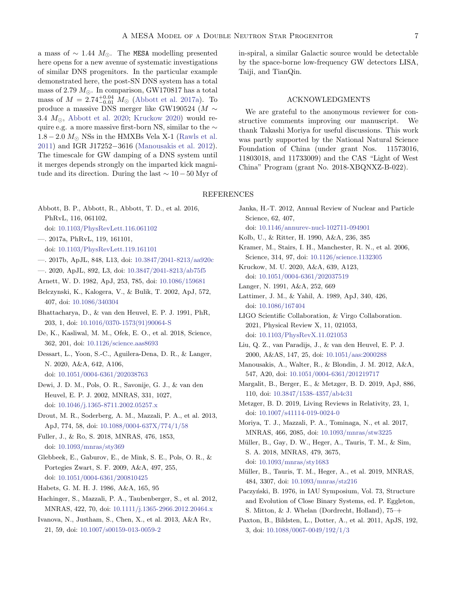a mass of  $\sim$  1.44  $M_{\odot}$ . The MESA modelling presented here opens for a new avenue of systematic investigations of similar DNS progenitors. In the particular example demonstrated here, the post-SN DNS system has a total mass of 2.79  $M_{\odot}$ . In comparison, GW170817 has a total mass of  $M = 2.74_{-0.01}^{+0.04} M_{\odot}$  [\(Abbott et al. 2017a\)](#page-6-2). To produce a massive DNS merger like GW190524 ( $M \sim$ 3.4  $M_{\odot}$ , [Abbott et al. 2020;](#page-6-3) [Kruckow 2020](#page-6-30)) would require e.g. a more massive first-born NS, similar to the  $\sim$  $1.8 - 2.0 M_{\odot}$  NSs in the HMXBs Vela X-1 [\(Rawls et al.](#page-7-18) [2011\)](#page-7-18) and IGR J17252−3616 [\(Manousakis et al. 2012\)](#page-6-31). The timescale for GW damping of a DNS system until it merges depends strongly on the imparted kick magnitude and its direction. During the last  $\sim 10-50$  Myr of in-spiral, a similar Galactic source would be detectable by the space-borne low-frequency GW detectors LISA, Taiji, and TianQin.

### ACKNOWLEDGMENTS

We are grateful to the anonymous reviewer for constructive comments improving our manuscript. We thank Takashi Moriya for useful discussions. This work was partly supported by the National Natural Science Foundation of China (under grant Nos. 11573016, 11803018, and 11733009) and the CAS "Light of West China" Program (grant No. 2018-XBQNXZ-B-022).

#### REFERENCES

<span id="page-6-0"></span>Abbott, B. P., Abbott, R., Abbott, T. D., et al. 2016, PhRvL, 116, 061102,

doi: [10.1103/PhysRevLett.116.061102](http://doi.org/10.1103/PhysRevLett.116.061102)

- <span id="page-6-2"></span>—. 2017a, PhRvL, 119, 161101,
- doi: [10.1103/PhysRevLett.119.161101](http://doi.org/10.1103/PhysRevLett.119.161101)
- <span id="page-6-4"></span>—. 2017b, ApJL, 848, L13, doi: [10.3847/2041-8213/aa920c](http://doi.org/10.3847/2041-8213/aa920c)
- <span id="page-6-3"></span>—. 2020, ApJL, 892, L3, doi: [10.3847/2041-8213/ab75f5](http://doi.org/10.3847/2041-8213/ab75f5)
- <span id="page-6-19"></span><span id="page-6-6"></span>Arnett, W. D. 1982, ApJ, 253, 785, doi: [10.1086/159681](http://doi.org/10.1086/159681) Belczynski, K., Kalogera, V., & Bulik, T. 2002, ApJ, 572, 407, doi: [10.1086/340304](http://doi.org/10.1086/340304)
- <span id="page-6-10"></span>Bhattacharya, D., & van den Heuvel, E. P. J. 1991, PhR, 203, 1, doi: [10.1016/0370-1573\(91\)90064-S](http://doi.org/10.1016/0370-1573(91)90064-S)
- <span id="page-6-20"></span>De, K., Kasliwal, M. M., Ofek, E. O., et al. 2018, Science, 362, 201, doi: [10.1126/science.aas8693](http://doi.org/10.1126/science.aas8693)
- <span id="page-6-26"></span>Dessart, L., Yoon, S.-C., Aguilera-Dena, D. R., & Langer, N. 2020, A&A, 642, A106, doi: [10.1051/0004-6361/202038763](http://doi.org/10.1051/0004-6361/202038763)
- <span id="page-6-5"></span>Dewi, J. D. M., Pols, O. R., Savonije, G. J., & van den Heuvel, E. P. J. 2002, MNRAS, 331, 1027, doi: [10.1046/j.1365-8711.2002.05257.x](http://doi.org/10.1046/j.1365-8711.2002.05257.x)
- <span id="page-6-18"></span>Drout, M. R., Soderberg, A. M., Mazzali, P. A., et al. 2013, ApJ, 774, 58, doi: [10.1088/0004-637X/774/1/58](http://doi.org/10.1088/0004-637X/774/1/58)
- <span id="page-6-27"></span>Fuller, J., & Ro, S. 2018, MNRAS, 476, 1853, doi: [10.1093/mnras/sty369](http://doi.org/10.1093/mnras/sty369)
- <span id="page-6-23"></span>Glebbeek, E., Gaburov, E., de Mink, S. E., Pols, O. R., & Portegies Zwart, S. F. 2009, A&A, 497, 255, doi: [10.1051/0004-6361/200810425](http://doi.org/10.1051/0004-6361/200810425)
- <span id="page-6-14"></span>Habets, G. M. H. J. 1986, A&A, 165, 95
- <span id="page-6-25"></span>Hachinger, S., Mazzali, P. A., Taubenberger, S., et al. 2012, MNRAS, 422, 70, doi: [10.1111/j.1365-2966.2012.20464.x](http://doi.org/10.1111/j.1365-2966.2012.20464.x)
- <span id="page-6-13"></span>Ivanova, N., Justham, S., Chen, X., et al. 2013, A&A Rv, 21, 59, doi: [10.1007/s00159-013-0059-2](http://doi.org/10.1007/s00159-013-0059-2)
- <span id="page-6-29"></span>Janka, H.-T. 2012, Annual Review of Nuclear and Particle Science, 62, 407,
- doi: [10.1146/annurev-nucl-102711-094901](http://doi.org/10.1146/annurev-nucl-102711-094901)
- <span id="page-6-24"></span>Kolb, U., & Ritter, H. 1990, A&A, 236, 385
- <span id="page-6-7"></span>Kramer, M., Stairs, I. H., Manchester, R. N., et al. 2006, Science, 314, 97, doi: [10.1126/science.1132305](http://doi.org/10.1126/science.1132305)
- <span id="page-6-30"></span>Kruckow, M. U. 2020, A&A, 639, A123, doi: [10.1051/0004-6361/202037519](http://doi.org/10.1051/0004-6361/202037519)
- <span id="page-6-22"></span>Langer, N. 1991, A&A, 252, 669
- <span id="page-6-28"></span>Lattimer, J. M., & Yahil, A. 1989, ApJ, 340, 426, doi: [10.1086/167404](http://doi.org/10.1086/167404)
- <span id="page-6-1"></span>LIGO Scientific Collaboration, & Virgo Collaboration. 2021, Physical Review X, 11, 021053, doi: [10.1103/PhysRevX.11.021053](http://doi.org/10.1103/PhysRevX.11.021053)
- <span id="page-6-11"></span>Liu, Q. Z., van Paradijs, J., & van den Heuvel, E. P. J. 2000, A&AS, 147, 25, doi: [10.1051/aas:2000288](http://doi.org/10.1051/aas:2000288)
- <span id="page-6-31"></span>Manousakis, A., Walter, R., & Blondin, J. M. 2012, A&A, 547, A20, doi: [10.1051/0004-6361/201219717](http://doi.org/10.1051/0004-6361/201219717)
- <span id="page-6-9"></span>Margalit, B., Berger, E., & Metzger, B. D. 2019, ApJ, 886, 110, doi: [10.3847/1538-4357/ab4c31](http://doi.org/10.3847/1538-4357/ab4c31)
- <span id="page-6-8"></span>Metzger, B. D. 2019, Living Reviews in Relativity, 23, 1, doi: [10.1007/s41114-019-0024-0](http://doi.org/10.1007/s41114-019-0024-0)
- <span id="page-6-15"></span>Moriya, T. J., Mazzali, P. A., Tominaga, N., et al. 2017, MNRAS, 466, 2085, doi: [10.1093/mnras/stw3225](http://doi.org/10.1093/mnras/stw3225)
- <span id="page-6-16"></span>Müller, B., Gay, D. W., Heger, A., Tauris, T. M., & Sim, S. A. 2018, MNRAS, 479, 3675, doi: [10.1093/mnras/sty1683](http://doi.org/10.1093/mnras/sty1683)
- <span id="page-6-17"></span>Müller, B., Tauris, T. M., Heger, A., et al. 2019, MNRAS, 484, 3307, doi: [10.1093/mnras/stz216](http://doi.org/10.1093/mnras/stz216)
- <span id="page-6-12"></span>Paczyński, B. 1976, in IAU Symposium, Vol. 73, Structure and Evolution of Close Binary Systems, ed. P. Eggleton, S. Mitton, & J. Whelan (Dordrecht, Holland), 75–+
- <span id="page-6-21"></span>Paxton, B., Bildsten, L., Dotter, A., et al. 2011, ApJS, 192, 3, doi: [10.1088/0067-0049/192/1/3](http://doi.org/10.1088/0067-0049/192/1/3)